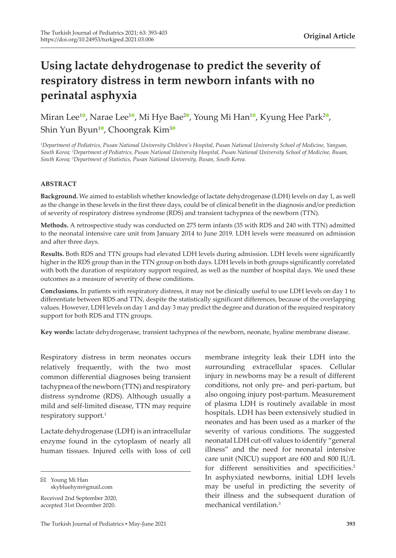# **Using lactate dehydrogenase to predict the severity of respiratory distress in term newborn infants with no perinatal asphyxia**

Miran Lee<sup>10</sup>[,](https://orcid.org/0000-0002-1028-4225) Narae Lee<sup>[1](https://orcid.org/0000-0002-6120-0490)0</sup>, Mi Hye Bae<sup>[2](https://orcid.org/0000-0001-7168-5084)0</sup>, Young Mi Han<sup>10</sup>, Kyung Hee Park<sup>20</sup>, Shin Yun Byun<sup>[1](https://orcid.org/0000-0002-9034-5533)</sup>, Choongrak Kim<sup>[3](https://orcid.org/0000-0002-3096-7875)0</sup>

*1 Department of Pediatrics, Pusan National University Children's Hospital, Pusan National University School of Medicine, Yangsan, South Korea; <sup>2</sup> Department of Pediatrics, Pusan National University Hospital, Pusan National University School of Medicine, Busan, South Korea; 3 Department of Statistics, Pusan National University, Busan, South Korea.*

#### **ABSTRACT**

**Background.** We aimed to establish whether knowledge of lactate dehydrogenase (LDH) levels on day 1, as well as the change in these levels in the first three days, could be of clinical benefit in the diagnosis and/or prediction of severity of respiratory distress syndrome (RDS) and transient tachypnea of the newborn (TTN).

**Methods.** A retrospective study was conducted on 275 term infants (35 with RDS and 240 with TTN) admitted to the neonatal intensive care unit from January 2014 to June 2019. LDH levels were measured on admission and after three days.

**Results.** Both RDS and TTN groups had elevated LDH levels during admission. LDH levels were significantly higher in the RDS group than in the TTN group on both days. LDH levels in both groups significantly correlated with both the duration of respiratory support required, as well as the number of hospital days. We used these outcomes as a measure of severity of these conditions.

**Conclusions.** In patients with respiratory distress, it may not be clinically useful to use LDH levels on day 1 to differentiate between RDS and TTN, despite the statistically significant differences, because of the overlapping values. However, LDH levels on day 1 and day 3 may predict the degree and duration of the required respiratory support for both RDS and TTN groups.

**Key words:** lactate dehydrogenase, transient tachypnea of the newborn, neonate, hyaline membrane disease.

Respiratory distress in term neonates occurs relatively frequently, with the two most common differential diagnoses being transient tachypnea of the newborn (TTN) and respiratory distress syndrome (RDS). Although usually a mild and self-limited disease, TTN may require respiratory support.<sup>1</sup>

Lactate dehydrogenase (LDH) is an intracellular enzyme found in the cytoplasm of nearly all human tissues. Injured cells with loss of cell

Received 2nd September 2020, accepted 31st December 2020.

membrane integrity leak their LDH into the surrounding extracellular spaces. Cellular injury in newborns may be a result of different conditions, not only pre- and peri-partum, but also ongoing injury post-partum. Measurement of plasma LDH is routinely available in most hospitals. LDH has been extensively studied in neonates and has been used as a marker of the severity of various conditions. The suggested neonatal LDH cut-off values to identify "general illness" and the need for neonatal intensive care unit (NICU) support are 600 and 800 IU/L for different sensitivities and specificities.<sup>2</sup> In asphyxiated newborns, initial LDH levels may be useful in predicting the severity of their illness and the subsequent duration of mechanical ventilation<sup>3</sup>

Young Mi Han skybluehym@gmail.com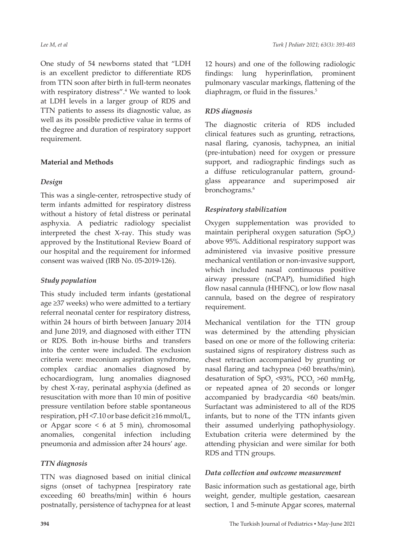One study of 54 newborns stated that "LDH is an excellent predictor to differentiate RDS from TTN soon after birth in full-term neonates with respiratory distress".<sup>4</sup> We wanted to look at LDH levels in a larger group of RDS and TTN patients to assess its diagnostic value, as well as its possible predictive value in terms of the degree and duration of respiratory support requirement.

### **Material and Methods**

### *Design*

This was a single-center, retrospective study of term infants admitted for respiratory distress without a history of fetal distress or perinatal asphyxia. A pediatric radiology specialist interpreted the chest X-ray. This study was approved by the Institutional Review Board of our hospital and the requirement for informed consent was waived (IRB No. 05-2019-126).

# *Study population*

This study included term infants (gestational age ≥37 weeks) who were admitted to a tertiary referral neonatal center for respiratory distress, within 24 hours of birth between January 2014 and June 2019, and diagnosed with either TTN or RDS. Both in-house births and transfers into the center were included. The exclusion criteria were: meconium aspiration syndrome, complex cardiac anomalies diagnosed by echocardiogram, lung anomalies diagnosed by chest X-ray, perinatal asphyxia (defined as resuscitation with more than 10 min of positive pressure ventilation before stable spontaneous respiration, pH <7.10 or base deficit ≥16 mmol/L, or Apgar score < 6 at 5 min), chromosomal anomalies, congenital infection including pneumonia and admission after 24 hours' age.

# *TTN diagnosis*

TTN was diagnosed based on initial clinical signs (onset of tachypnea [respiratory rate exceeding 60 breaths/min] within 6 hours postnatally, persistence of tachypnea for at least 12 hours) and one of the following radiologic findings: lung hyperinflation, prominent pulmonary vascular markings, flattening of the diaphragm, or fluid in the fissures.<sup>5</sup>

# *RDS diagnosis*

The diagnostic criteria of RDS included clinical features such as grunting, retractions, nasal flaring, cyanosis, tachypnea, an initial (pre-intubation) need for oxygen or pressure support, and radiographic findings such as a diffuse reticulogranular pattern, groundglass appearance and superimposed air bronchograms.<sup>6</sup>

# *Respiratory stabilization*

Oxygen supplementation was provided to maintain peripheral oxygen saturation (SpO $_2$ ) above 95%. Additional respiratory support was administered via invasive positive pressure mechanical ventilation or non-invasive support, which included nasal continuous positive airway pressure (nCPAP), humidified high flow nasal cannula (HHFNC), or low flow nasal cannula, based on the degree of respiratory requirement.

Mechanical ventilation for the TTN group was determined by the attending physician based on one or more of the following criteria: sustained signs of respiratory distress such as chest retraction accompanied by grunting or nasal flaring and tachypnea (>60 breaths/min), desaturation of  $SpO_2$  <93%, PCO<sub>2</sub> >60 mmHg, or repeated apnea of 20 seconds or longer accompanied by bradycardia <60 beats/min. Surfactant was administered to all of the RDS infants, but to none of the TTN infants given their assumed underlying pathophysiology. Extubation criteria were determined by the attending physician and were similar for both RDS and TTN groups.

### *Data collection and outcome measurement*

Basic information such as gestational age, birth weight, gender, multiple gestation, caesarean section, 1 and 5-minute Apgar scores, maternal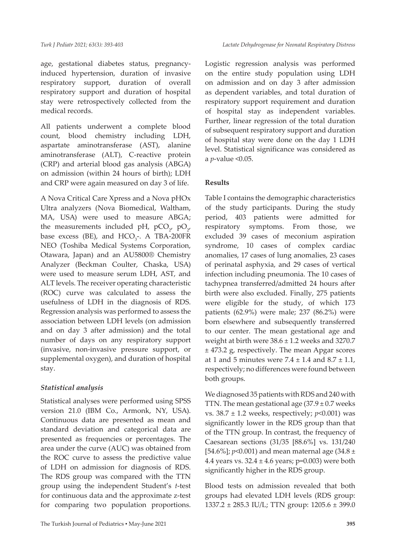age, gestational diabetes status, pregnancyinduced hypertension, duration of invasive respiratory support, duration of overall respiratory support and duration of hospital stay were retrospectively collected from the medical records.

All patients underwent a complete blood count, blood chemistry including LDH, aspartate aminotransferase (AST), alanine aminotransferase (ALT), C-reactive protein (CRP) and arterial blood gas analysis (ABGA) on admission (within 24 hours of birth); LDH and CRP were again measured on day 3 of life.

A Nova Critical Care Xpress and a Nova pHOx Ultra analyzers (Nova Biomedical, Waltham, MA, USA) were used to measure ABGA; the measurements included pH,  $pCO_{2'}$ ,  $pO_{2'}$ base excess (BE), and  $HCO<sub>3</sub>^-$ . A TBA-200FR NEO (Toshiba Medical Systems Corporation, Otawara, Japan) and an AU5800® Chemistry Analyzer (Beckman Coulter, Chaska, USA) were used to measure serum LDH, AST, and ALT levels. The receiver operating characteristic (ROC) curve was calculated to assess the usefulness of LDH in the diagnosis of RDS. Regression analysis was performed to assess the association between LDH levels (on admission and on day 3 after admission) and the total number of days on any respiratory support (invasive, non-invasive pressure support, or supplemental oxygen), and duration of hospital stay.

### *Statistical analysis*

Statistical analyses were performed using SPSS version 21.0 (IBM Co., Armonk, NY, USA). Continuous data are presented as mean and standard deviation and categorical data are presented as frequencies or percentages. The area under the curve (AUC) was obtained from the ROC curve to assess the predictive value of LDH on admission for diagnosis of RDS. The RDS group was compared with the TTN group using the independent Student's *t*-test for continuous data and the approximate z-test for comparing two population proportions.

Logistic regression analysis was performed on the entire study population using LDH on admission and on day 3 after admission as dependent variables, and total duration of respiratory support requirement and duration of hospital stay as independent variables. Further, linear regression of the total duration of subsequent respiratory support and duration of hospital stay were done on the day 1 LDH level. Statistical significance was considered as a *p*-value <0.05.

### **Results**

Table I contains the demographic characteristics of the study participants. During the study period, 403 patients were admitted for respiratory symptoms. From those, we excluded 39 cases of meconium aspiration syndrome, 10 cases of complex cardiac anomalies, 17 cases of lung anomalies, 23 cases of perinatal asphyxia, and 29 cases of vertical infection including pneumonia. The 10 cases of tachypnea transferred/admitted 24 hours after birth were also excluded. Finally, 275 patients were eligible for the study, of which 173 patients (62.9%) were male; 237 (86.2%) were born elsewhere and subsequently transferred to our center. The mean gestational age and weight at birth were 38.6 ± 1.2 weeks and 3270.7 ± 473.2 g, respectively. The mean Apgar scores at 1 and 5 minutes were  $7.4 \pm 1.4$  and  $8.7 \pm 1.1$ , respectively; no differences were found between both groups.

We diagnosed 35 patients with RDS and 240 with TTN. The mean gestational age  $(37.9 \pm 0.7$  weeks vs. 38.7 ± 1.2 weeks, respectively; *p*<0.001) was significantly lower in the RDS group than that of the TTN group. In contrast, the frequency of Caesarean sections (31/35 [88.6%] vs. 131/240 [54.6%]; *p*<0.001) and mean maternal age (34.8 ± 4.4 years vs.  $32.4 \pm 4.6$  years; p=0.003) were both significantly higher in the RDS group.

Blood tests on admission revealed that both groups had elevated LDH levels (RDS group: 1337.2 ± 285.3 IU/L; TTN group: 1205.6 ± 399.0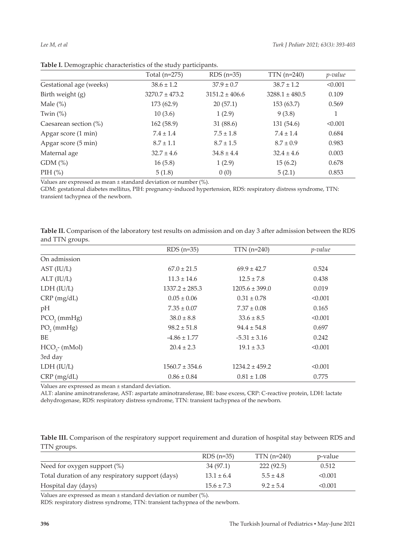|                          | Total $(n=275)$    | $RDS(n=35)$        | $TTN$ (n=240)      | p-value |
|--------------------------|--------------------|--------------------|--------------------|---------|
| Gestational age (weeks)  | $38.6 \pm 1.2$     | $37.9 \pm 0.7$     | $38.7 \pm 1.2$     | < 0.001 |
| Birth weight (g)         | $3270.7 \pm 473.2$ | $3151.2 \pm 406.6$ | $3288.1 \pm 480.5$ | 0.109   |
| Male $(\%)$              | 173(62.9)          | 20(57.1)           | 153(63.7)          | 0.569   |
| Twin $(\%)$              | 10(3.6)            | 1(2.9)             | 9(3.8)             | 1       |
| Caesarean section $(\%)$ | 162(58.9)          | 31 (88.6)          | 131(54.6)          | < 0.001 |
| Apgar score (1 min)      | $7.4 \pm 1.4$      | $7.5 \pm 1.8$      | $7.4 \pm 1.4$      | 0.684   |
| Apgar score (5 min)      | $8.7 \pm 1.1$      | $8.7 \pm 1.5$      | $8.7 \pm 0.9$      | 0.983   |
| Maternal age             | $32.7 \pm 4.6$     | $34.8 \pm 4.4$     | $32.4 \pm 4.6$     | 0.003   |
| GDM(%)                   | 16(5.8)            | 1(2.9)             | 15(6.2)            | 0.678   |
| PIH $(\%)$               | 5(1.8)             | 0(0)               | 5(2.1)             | 0.853   |

**Table I.** Demographic characteristics of the study participants.

Values are expressed as mean ± standard deviation or number (%).

GDM: gestational diabetes mellitus, PIH: pregnancy-induced hypertension, RDS: respiratory distress syndrome, TTN: transient tachypnea of the newborn.

|                           | $RDS(n=35)$        | $TTN$ (n=240)      | $p$ -value |
|---------------------------|--------------------|--------------------|------------|
| On admission              |                    |                    |            |
| AST (IU/L)                | $67.0 \pm 21.5$    | $69.9 \pm 42.7$    | 0.524      |
| ALT (IU/L)                | $11.3 \pm 14.6$    | $12.5 \pm 7.8$     | 0.438      |
| LDH (IU/L)                | $1337.2 \pm 285.3$ | $1205.6 \pm 399.0$ | 0.019      |
| $CRP$ (mg/dL)             | $0.05 \pm 0.06$    | $0.31 \pm 0.78$    | < 0.001    |
| pH                        | $7.35 \pm 0.07$    | $7.37 \pm 0.08$    | 0.165      |
| $PCO$ <sub>2</sub> (mmHg) | $38.0 \pm 8.8$     | $33.6 \pm 8.5$     | < 0.001    |
| $PO2$ (mmHg)              | $98.2 \pm 51.8$    | $94.4 \pm 54.8$    | 0.697      |
| BE                        | $-4.86 \pm 1.77$   | $-5.31 \pm 3.16$   | 0.242      |
| $HCO3$ - (mMol)           | $20.4 \pm 2.3$     | $19.1 \pm 3.3$     | < 0.001    |
| 3rd day                   |                    |                    |            |
| LDH (IU/L)                | $1560.7 \pm 354.6$ | $1234.2 \pm 459.2$ | < 0.001    |
| $CRP$ (mg/dL)             | $0.86 \pm 0.84$    | $0.81 \pm 1.08$    | 0.775      |

**Table II.** Comparison of the laboratory test results on admission and on day 3 after admission between the RDS and TTN groups.

Values are expressed as mean ± standard deviation.

ALT: alanine aminotransferase, AST: aspartate aminotransferase, BE: base excess, CRP: C-reactive protein, LDH: lactate dehydrogenase, RDS: respiratory distress syndrome, TTN: transient tachypnea of the newborn.

| Table III. Comparison of the respiratory support requirement and duration of hospital stay between RDS and |  |  |
|------------------------------------------------------------------------------------------------------------|--|--|
| TTN groups.                                                                                                |  |  |

|                                                  | $RDS(n=35)$    | $TTN$ (n=240) | p-value |
|--------------------------------------------------|----------------|---------------|---------|
| Need for oxygen support $(\%)$                   | 34 (97.1)      | 222(92.5)     | 0.512   |
| Total duration of any respiratory support (days) | $13.1 \pm 6.4$ | $5.5 + 4.8$   | < 0.001 |
| Hospital day (days)                              | $15.6 \pm 7.3$ | $9.2 \pm 5.4$ | < 0.001 |

Values are expressed as mean ± standard deviation or number (%).

RDS: respiratory distress syndrome, TTN: transient tachypnea of the newborn.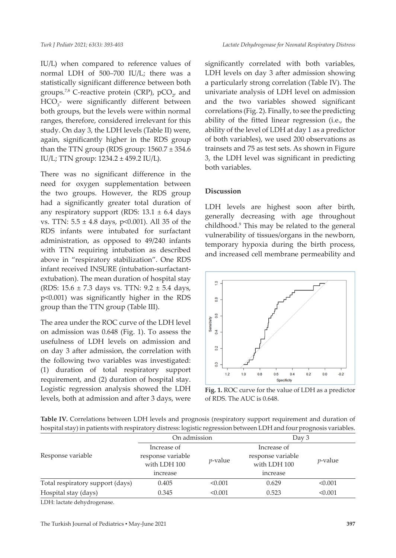IU/L) when compared to reference values of normal LDH of 500–700 IU/L; there was a statistically significant difference between both groups.<sup>7,8</sup> C-reactive protein (CRP),  $pCO_{2'}$  and HCO<sub>3</sub>- were significantly different between both groups, but the levels were within normal ranges, therefore, considered irrelevant for this study. On day 3, the LDH levels (Table II) were, again, significantly higher in the RDS group than the TTN group (RDS group:  $1560.7 \pm 354.6$ IU/L; TTN group: 1234.2 ± 459.2 IU/L).

There was no significant difference in the need for oxygen supplementation between the two groups. However, the RDS group had a significantly greater total duration of any respiratory support (RDS:  $13.1 \pm 6.4$  days vs. TTN:  $5.5 \pm 4.8$  days, p<0.001). All 35 of the RDS infants were intubated for surfactant administration, as opposed to 49/240 infants with TTN requiring intubation as described above in "respiratory stabilization". One RDS infant received INSURE (intubation-surfactantextubation). The mean duration of hospital stay (RDS: 15.6 ± 7.3 days vs. TTN: 9.2 ± 5.4 days, p<0.001) was significantly higher in the RDS group than the TTN group (Table III).

The area under the ROC curve of the LDH level on admission was 0.648 (Fig. 1). To assess the usefulness of LDH levels on admission and on day 3 after admission, the correlation with the following two variables was investigated: (1) duration of total respiratory support requirement, and (2) duration of hospital stay. Logistic regression analysis showed the LDH levels, both at admission and after 3 days, were

significantly correlated with both variables, LDH levels on day 3 after admission showing a particularly strong correlation (Table IV). The univariate analysis of LDH level on admission and the two variables showed significant correlations (Fig. 2). Finally, to see the predicting ability of the fitted linear regression (i.e., the ability of the level of LDH at day 1 as a predictor of both variables), we used 200 observations as trainsets and 75 as test sets. As shown in Figure 3, the LDH level was significant in predicting both variables.

### **Discussion**

LDH levels are highest soon after birth, generally decreasing with age throughout childhood.<sup>9</sup> This may be related to the general vulnerability of tissues/organs in the newborn, temporary hypoxia during the birth process, and increased cell membrane permeability and



**Fig. 1.** ROC curve for the value of LDH as a predictor of RDS. The AUC is 0.648.

**Table IV.** Correlations between LDH levels and prognosis (respiratory support requirement and duration of hospital stay) in patients with respiratory distress: logistic regression between LDH and four prognosis variables.

|                                  | On admission                                                 |            | Day 3                                                        |                 |
|----------------------------------|--------------------------------------------------------------|------------|--------------------------------------------------------------|-----------------|
| Response variable                | Increase of<br>response variable<br>with LDH 100<br>increase | $p$ -value | Increase of<br>response variable<br>with LDH 100<br>increase | <i>p</i> -value |
| Total respiratory support (days) | 0.405                                                        | < 0.001    | 0.629                                                        | < 0.001         |
| Hospital stay (days)             | 0.345                                                        | < 0.001    | 0.523                                                        | < 0.001         |
|                                  |                                                              |            |                                                              |                 |

LDH: lactate dehydrogenase.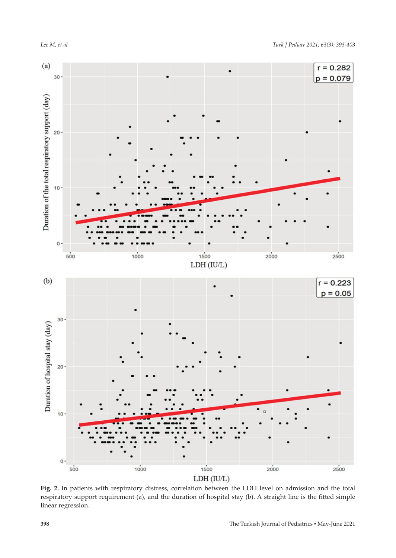$0 1500$  $500$  $1000$  $2000$ 

LDH (IU/L)

**Fig. 2.** In patients with respiratory distress, correlation between the LDH level on admission and the total respiratory support requirement (a), and the duration of hospital stay (b). A straight line is the fitted simple linear regression.

 $r = 0.282$ 



 $(a)$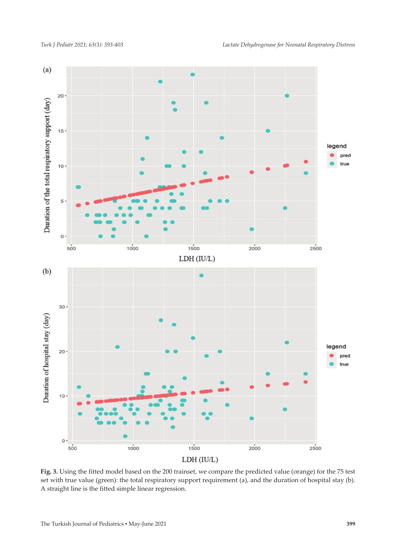

**Fig. 3.** Using the fitted model based on the 200 trainset, we compare the predicted value (orange) for the 75 test set with true value (green): the total respiratory support requirement (a), and the duration of hospital stay (b). A straight line is the fitted simple linear regression.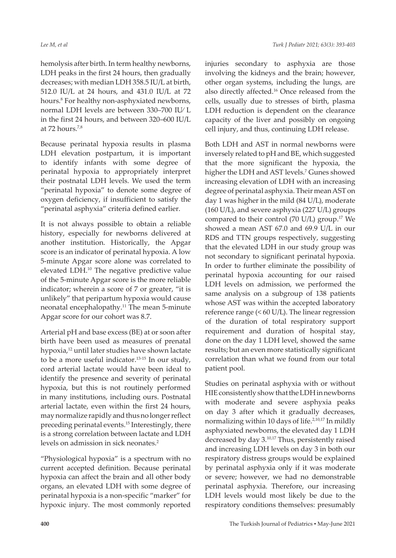hemolysis after birth. In term healthy newborns, LDH peaks in the first 24 hours, then gradually decreases; with median LDH 358.5 IU/L at birth, 512.0 IU/L at 24 hours, and 431.0 IU/L at 72 hours.<sup>8</sup> For healthy non-asphyxiated newborns, normal LDH levels are between 330–700 IU⁄ L in the first 24 hours, and between 320–600 IU/L at  $72$  hours.<sup>7,8</sup>

Because perinatal hypoxia results in plasma LDH elevation postpartum, it is important to identify infants with some degree of perinatal hypoxia to appropriately interpret their postnatal LDH levels. We used the term "perinatal hypoxia" to denote some degree of oxygen deficiency, if insufficient to satisfy the "perinatal asphyxia" criteria defined earlier.

It is not always possible to obtain a reliable history, especially for newborns delivered at another institution. Historically, the Apgar score is an indicator of perinatal hypoxia. A low 5-minute Apgar score alone was correlated to elevated LDH.10 The negative predictive value of the 5-minute Apgar score is the more reliable indicator; wherein a score of 7 or greater, "it is unlikely" that peripartum hypoxia would cause neonatal encephalopathy.<sup>11</sup> The mean 5-minute Apgar score for our cohort was 8.7.

Arterial pH and base excess (BE) at or soon after birth have been used as measures of prenatal hypoxia,<sup>12</sup> until later studies have shown lactate to be a more useful indicator. $13-15$  In our study, cord arterial lactate would have been ideal to identify the presence and severity of perinatal hypoxia, but this is not routinely performed in many institutions, including ours. Postnatal arterial lactate, even within the first 24 hours, may normalize rapidly and thus no longer reflect preceding perinatal events.<sup>15</sup> Interestingly, there is a strong correlation between lactate and LDH levels on admission in sick neonates.<sup>2</sup>

"Physiological hypoxia" is a spectrum with no current accepted definition. Because perinatal hypoxia can affect the brain and all other body organs, an elevated LDH with some degree of perinatal hypoxia is a non-specific "marker" for hypoxic injury. The most commonly reported

injuries secondary to asphyxia are those involving the kidneys and the brain; however, other organ systems, including the lungs, are also directly affected.16 Once released from the cells, usually due to stresses of birth, plasma LDH reduction is dependent on the clearance capacity of the liver and possibly on ongoing cell injury, and thus, continuing LDH release.

Both LDH and AST in normal newborns were inversely related to pH and BE, which suggested that the more significant the hypoxia, the higher the LDH and AST levels.7 Gunes showed increasing elevation of LDH with an increasing degree of perinatal asphyxia. Their mean AST on day 1 was higher in the mild (84 U/L), moderate (160 U/L), and severe asphyxia (227 U/L) groups compared to their control (70 U/L) group.<sup>17</sup> We showed a mean AST 67.0 and 69.9 U/L in our RDS and TTN groups respectively, suggesting that the elevated LDH in our study group was not secondary to significant perinatal hypoxia. In order to further eliminate the possibility of perinatal hypoxia accounting for our raised LDH levels on admission, we performed the same analysis on a subgroup of 138 patients whose AST was within the accepted laboratory reference range (< 60 U/L). The linear regression of the duration of total respiratory support requirement and duration of hospital stay, done on the day 1 LDH level, showed the same results; but an even more statistically significant correlation than what we found from our total patient pool.

Studies on perinatal asphyxia with or without HIE consistently show that the LDH in newborns with moderate and severe asphyxia peaks on day 3 after which it gradually decreases, normalizing within 10 days of life.<sup>2,10,17</sup> In mildly asphyxiated newborns, the elevated day 1 LDH decreased by day 3.10,17 Thus, persistently raised and increasing LDH levels on day 3 in both our respiratory distress groups would be explained by perinatal asphyxia only if it was moderate or severe; however, we had no demonstrable perinatal asphyxia. Therefore, our increasing LDH levels would most likely be due to the respiratory conditions themselves: presumably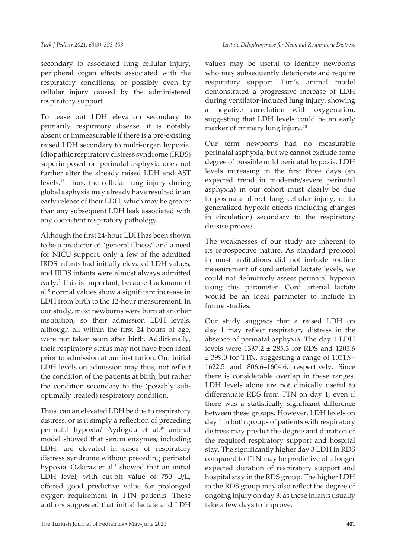secondary to associated lung cellular injury, peripheral organ effects associated with the respiratory conditions, or possibly even by cellular injury caused by the administered respiratory support.

To tease out LDH elevation secondary to primarily respiratory disease, it is notably absent or immeasurable if there is a pre-existing raised LDH secondary to multi-organ hypoxia. Idiopathic respiratory distress syndrome (IRDS) superimposed on perinatal asphyxia does not further alter the already raised LDH and AST levels.18 Thus, the cellular lung injury during global asphyxia may already have resulted in an early release of their LDH, which may be greater than any subsequent LDH leak associated with any coexistent respiratory pathology.

Although the first 24-hour LDH has been shown to be a predictor of "general illness" and a need for NICU support, only a few of the admitted IRDS infants had initially elevated LDH values, and IRDS infants were almost always admitted early.<sup>2</sup> This is important, because Lackmann et al.<sup>8</sup> normal values show a significant increase in LDH from birth to the 12-hour measurement. In our study, most newborns were born at another institution, so their admission LDH levels, although all within the first 24 hours of age, were not taken soon after birth. Additionally, their respiratory status may not have been ideal prior to admission at our institution. Our initial LDH levels on admission may thus, not reflect the condition of the patients at birth, but rather the condition secondary to the (possibly suboptimally treated) respiratory condition.

Thus, can an elevated LDH be due to respiratory distress, or is it simply a reflection of preceding perinatal hypoxia? Aydogdu et al.<sup>19</sup> animal model showed that serum enzymes, including LDH, are elevated in cases of respiratory distress syndrome without preceding perinatal hypoxia. Ozkiraz et al.<sup>5</sup> showed that an initial LDH level, with cut-off value of 750 U/L, offered good predictive value for prolonged oxygen requirement in TTN patients. These authors suggested that initial lactate and LDH

values may be useful to identify newborns who may subsequently deteriorate and require respiratory support. Lim's animal model demonstrated a progressive increase of LDH during ventilator-induced lung injury, showing a negative correlation with oxygenation, suggesting that LDH levels could be an early marker of primary lung injury.<sup>20</sup>

Our term newborns had no measurable perinatal asphyxia, but we cannot exclude some degree of possible mild perinatal hypoxia. LDH levels increasing in the first three days (an expected trend in moderate/severe perinatal asphyxia) in our cohort must clearly be due to postnatal direct lung cellular injury, or to generalized hypoxic effects (including changes in circulation) secondary to the respiratory disease process.

The weaknesses of our study are inherent to its retrospective nature. As standard protocol in most institutions did not include routine measurement of cord arterial lactate levels, we could not definitively assess perinatal hypoxia using this parameter. Cord arterial lactate would be an ideal parameter to include in future studies.

Our study suggests that a raised LDH on day 1 may reflect respiratory distress in the absence of perinatal asphyxia. The day 1 LDH levels were 1337.2 ± 285.3 for RDS and 1205.6 ± 399.0 for TTN, suggesting a range of 1051.9– 1622.5 and 806.6–1604.6, respectively. Since there is considerable overlap in these ranges, LDH levels alone are not clinically useful to differentiate RDS from TTN on day 1, even if there was a statistically significant difference between these groups. However, LDH levels on day 1 in both groups of patients with respiratory distress may predict the degree and duration of the required respiratory support and hospital stay. The significantly higher day 3 LDH in RDS compared to TTN may be predictive of a longer expected duration of respiratory support and hospital stay in the RDS group. The higher LDH in the RDS group may also reflect the degree of ongoing injury on day 3, as these infants usually take a few days to improve.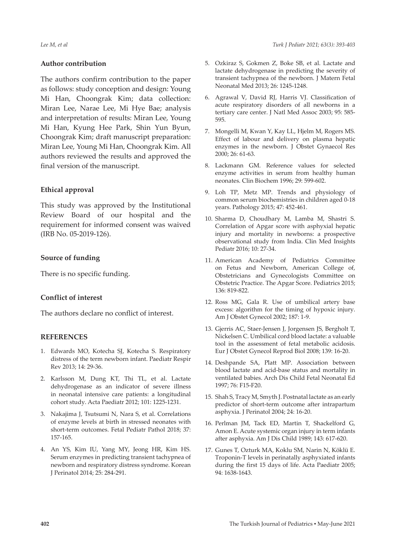#### **Author contribution**

The authors confirm contribution to the paper as follows: study conception and design: Young Mi Han, Choongrak Kim; data collection: Miran Lee, Narae Lee, Mi Hye Bae; analysis and interpretation of results: Miran Lee, Young Mi Han, Kyung Hee Park, Shin Yun Byun, Choongrak Kim; draft manuscript preparation: Miran Lee, Young Mi Han, Choongrak Kim. All authors reviewed the results and approved the final version of the manuscript.

#### **Ethical approval**

This study was approved by the Institutional Review Board of our hospital and the requirement for informed consent was waived (IRB No. 05-2019-126).

#### **Source of funding**

There is no specific funding.

#### **Conflict of interest**

The authors declare no conflict of interest.

#### **REFERENCES**

- 1. Edwards MO, Kotecha SJ, Kotecha S. Respiratory distress of the term newborn infant. Paediatr Respir Rev 2013; 14: 29-36.
- 2. Karlsson M, Dung KT, Thi TL, et al. Lactate dehydrogenase as an indicator of severe illness in neonatal intensive care patients: a longitudinal cohort study. Acta Paediatr 2012; 101: 1225-1231.
- 3. Nakajima J, Tsutsumi N, Nara S, et al. Correlations of enzyme levels at birth in stressed neonates with short-term outcomes. Fetal Pediatr Pathol 2018; 37: 157-165.
- 4. An YS, Kim IU, Yang MY, Jeong HR, Kim HS. Serum enzymes in predicting transient tachypnea of newborn and respiratory distress syndrome. Korean J Perinatol 2014; 25: 284-291.
- 5. Ozkiraz S, Gokmen Z, Boke SB, et al. Lactate and lactate dehydrogenase in predicting the severity of transient tachypnea of the newborn. J Matern Fetal Neonatal Med 2013; 26: 1245-1248.
- 6. Agrawal V, David RJ, Harris VJ. Classification of acute respiratory disorders of all newborns in a tertiary care center. J Natl Med Assoc 2003; 95: 585- 595.
- 7. Mongelli M, Kwan Y, Kay LL, Hjelm M, Rogers MS. Effect of labour and delivery on plasma hepatic enzymes in the newborn. J Obstet Gynaecol Res 2000; 26: 61-63.
- 8. Lackmann GM. Reference values for selected enzyme activities in serum from healthy human neonates. Clin Biochem 1996; 29: 599-602.
- 9. Loh TP, Metz MP. Trends and physiology of common serum biochemistries in children aged 0-18 years. Pathology 2015; 47: 452-461.
- 10. Sharma D, Choudhary M, Lamba M, Shastri S. Correlation of Apgar score with asphyxial hepatic injury and mortality in newborns: a prospective observational study from India. Clin Med Insights Pediatr 2016; 10: 27-34.
- 11. American Academy of Pediatrics Committee on Fetus and Newborn, American College of, Obstetricians and Gynecologists Committee on Obstetric Practice. The Apgar Score. Pediatrics 2015; 136: 819-822.
- 12. Ross MG, Gala R. Use of umbilical artery base excess: algorithm for the timing of hypoxic injury. Am J Obstet Gynecol 2002; 187: 1-9.
- 13. Gjerris AC, Staer-Jensen J, Jorgensen JS, Bergholt T, Nickelsen C. Umbilical cord blood lactate: a valuable tool in the assessment of fetal metabolic acidosis. Eur J Obstet Gynecol Reprod Biol 2008; 139: 16-20.
- 14. Deshpande SA, Platt MP. Association between blood lactate and acid-base status and mortality in ventilated babies. Arch Dis Child Fetal Neonatal Ed 1997; 76: F15-F20.
- 15. Shah S, Tracy M, Smyth J. Postnatal lactate as an early predictor of short-term outcome after intrapartum asphyxia. J Perinatol 2004; 24: 16-20.
- 16. Perlman JM, Tack ED, Martin T, Shackelford G, Amon E. Acute systemic organ injury in term infants after asphyxia. Am J Dis Child 1989; 143: 617-620.
- 17. Gunes T, Ozturk MA, Koklu SM, Narin N, Köklü E. Troponin-T levels in perinatally asphyxiated infants during the first 15 days of life. Acta Paediatr 2005; 94: 1638-1643.